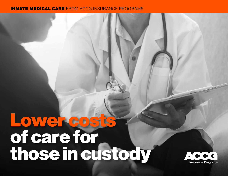## INMATE MEDICAL CARE FROM ACCG INSURANCE PROGRAMS

## Lower costs of care for those in custody